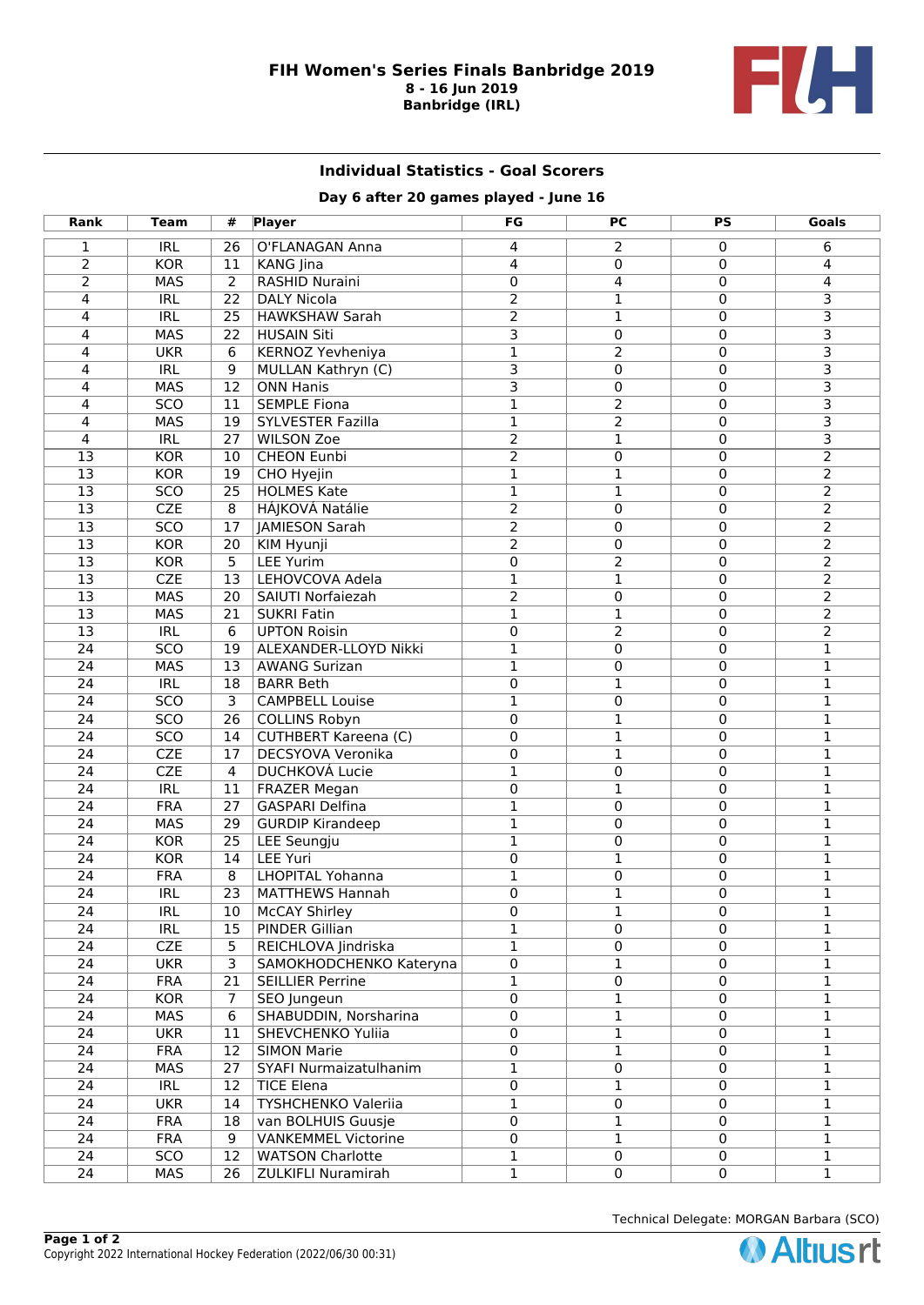

## **Individual Statistics - Goal Scorers**

## **Day 6 after 20 games played - June 16**

| Rank                               | Team                     | #                       | <b>Player</b>                                     | FG                      | PС                | <b>PS</b>        | Goals                   |
|------------------------------------|--------------------------|-------------------------|---------------------------------------------------|-------------------------|-------------------|------------------|-------------------------|
| $\mathbf{1}$                       | <b>IRL</b>               | 26                      | O'FLANAGAN Anna                                   | 4                       | 2                 | $\mathbf 0$      | 6                       |
| $\overline{2}$                     | <b>KOR</b>               | 11                      | <b>KANG</b> Jina                                  | 4                       | $\Omega$          | $\Omega$         | 4                       |
| $\overline{2}$                     | <b>MAS</b>               | $\overline{2}$          | <b>RASHID Nuraini</b>                             | $\mathbf 0$             | 4                 | $\mathbf 0$      | 4                       |
| 4                                  | <b>IRL</b>               | 22                      | <b>DALY Nicola</b>                                | $\overline{2}$          | $\mathbf{1}$      | $\mathbf 0$      | 3                       |
| 4                                  | IRL                      | $\overline{25}$         | <b>HAWKSHAW Sarah</b>                             | $\overline{2}$          | 1                 | $\mathbf 0$      | $\overline{\mathsf{3}}$ |
| 4                                  | <b>MAS</b>               | 22                      | <b>HUSAIN Siti</b>                                | $\overline{\mathsf{3}}$ | 0                 | $\mathbf 0$      | $\overline{\mathsf{3}}$ |
| 4                                  | <b>UKR</b>               | 6                       | <b>KERNOZ Yevheniya</b>                           | $\overline{1}$          | $\overline{2}$    | $\mathbf 0$      | $\overline{\mathsf{3}}$ |
| 4                                  | IRL                      | $\overline{9}$          | MULLAN Kathryn (C)                                | $\overline{\mathbf{3}}$ | 0                 | $\mathbf 0$      | $\overline{\mathbf{3}}$ |
| 4                                  | <b>MAS</b>               | $\overline{12}$         | <b>ONN Hanis</b>                                  | $\overline{\mathsf{3}}$ | 0                 | $\overline{0}$   | $\overline{\mathsf{3}}$ |
| 4                                  | $\overline{SCO}$         | 11                      | <b>SEMPLE Fiona</b>                               | $\overline{1}$          | $\overline{2}$    | $\mathbf 0$      | $\overline{\mathsf{3}}$ |
| 4                                  | <b>MAS</b>               | 19                      | <b>SYLVESTER Fazilla</b>                          | 1                       | $\overline{2}$    | $\mathbf 0$      | 3                       |
| 4                                  | <b>IRL</b>               | 27                      | <b>WILSON Zoe</b>                                 | 2                       | $\mathbf{1}$      | $\mathbf 0$      | 3                       |
| $\overline{13}$                    | <b>KOR</b>               | 10                      | <b>CHEON Eunbi</b>                                | $\overline{2}$          | $\mathbf 0$       | $\mathbf 0$      | $\overline{2}$          |
| $\overline{13}$                    | <b>KOR</b>               | $\overline{19}$         | CHO Hyejin                                        | $\overline{1}$          | $\mathbf{1}$      | $\mathbf 0$      | $\overline{2}$          |
| $\overline{13}$                    | 5C <sub>O</sub>          | $\overline{25}$         | <b>HOLMES Kate</b>                                | 1                       | $\mathbf{1}$      | $\mathbf 0$      | $\overline{2}$          |
| $\overline{13}$                    | CZE                      | $\overline{8}$          | <b>HÁJKOVÁ Natálie</b>                            | $\overline{2}$          | 0                 | $\mathbf 0$      | $\overline{2}$          |
| $\overline{13}$                    | 5C <sub>O</sub>          | $\overline{17}$         | <b>JAMIESON Sarah</b>                             | $\overline{2}$          | 0                 | $\mathbf 0$      | $\overline{2}$          |
| $\overline{13}$                    | <b>KOR</b>               | 20                      | <b>KIM Hyunji</b>                                 | $\overline{2}$          | 0                 | $\mathbf 0$      | $\overline{2}$          |
| $\overline{13}$                    | KOR                      | $\overline{5}$          | <b>LEE Yurim</b>                                  | 0                       | $\overline{2}$    | $\mathbf 0$      | $\overline{2}$          |
| $\overline{13}$                    | CZE                      | 13                      | LEHOVCOVA Adela                                   | $\overline{1}$          | $\mathbf{1}$      | $\mathbf 0$      | $\overline{2}$          |
| $\overline{13}$                    | <b>MAS</b>               | 20                      | SAIUTI Norfaiezah                                 | $\overline{2}$          | $\overline{0}$    | $\mathbf 0$      | $\overline{2}$          |
| $\overline{13}$                    | <b>MAS</b>               | 21                      | <b>SUKRI Fatin</b>                                | $\overline{1}$          | $\mathbf{1}$      | $\mathbf 0$      | $\overline{2}$          |
| $\overline{13}$                    | IRL                      | 6                       | <b>UPTON Roisin</b>                               | 0                       | $\overline{2}$    | $\mathbf 0$      | $\overline{2}$          |
| $\overline{24}$                    | 5C <sub>O</sub>          | 19                      | ALEXANDER-LLOYD Nikki                             | $\overline{1}$          | 0                 | 0                | $\overline{1}$          |
| $\overline{24}$                    | <b>MAS</b>               | 13                      | <b>AWANG Surizan</b>                              | 1                       | 0                 | $\mathbf 0$      | $\mathbf 1$             |
| $\overline{24}$                    | IRL                      | $\overline{18}$         | <b>BARR Beth</b>                                  | 0                       | $\mathbf{1}$      | $\mathbf 0$      | 1                       |
| $\overline{24}$                    | $\overline{SCO}$         | $\overline{\mathbf{3}}$ | <b>CAMPBELL Louise</b>                            | 1                       | $\mathbf 0$       | $\mathbf 0$      | $\mathbf 1$             |
| $\overline{24}$                    | 5C <sub>O</sub>          | $\overline{26}$         | <b>COLLINS Robyn</b>                              | 0                       | $\mathbf{1}$      | $\mathbf 0$      | 1                       |
| 24                                 | 5C <sub>O</sub>          | 14                      | <b>CUTHBERT Kareena (C)</b>                       | 0                       | $\mathbf{1}$      | $\mathbf 0$      | 1                       |
| $\overline{24}$                    | CZE                      | 17                      | DECSYOVA Veronika                                 | 0                       | $\mathbf{1}$      | $\mathbf 0$      | 1                       |
| $\overline{24}$                    | CZE                      | $\overline{4}$          | <b>DUCHKOVÁ Lucie</b>                             | 1                       | 0                 | $\mathbf 0$      | $\mathbf 1$             |
| $\overline{24}$                    | IRL                      | $\overline{11}$         | <b>FRAZER Megan</b>                               | 0                       | $\mathbf{1}$      | 0                | 1                       |
| $\overline{24}$                    | <b>FRA</b>               | $\overline{27}$         | <b>GASPARI Delfina</b>                            | $\mathbf{1}$            | 0                 | $\overline{0}$   | $\mathbf{1}$            |
| $\overline{24}$<br>$\overline{24}$ | <b>MAS</b>               | $\overline{29}$         | <b>GURDIP Kirandeep</b>                           | $\overline{1}$          | 0                 | $\mathbf 0$      | $\overline{1}$          |
|                                    | KOR                      | 25                      | <b>LEE Seungju</b>                                | 1                       | 0                 | $\mathbf 0$      | 1                       |
| 24                                 | <b>KOR</b>               | 14                      | <b>LEE Yuri</b>                                   | $\mathbf 0$             | $\mathbf{1}$      | $\mathbf 0$      | $\mathbf 1$             |
| 24<br>$\overline{24}$              | <b>FRA</b><br><b>IRL</b> | 8<br>$\overline{23}$    | <b>LHOPITAL Yohanna</b><br><b>MATTHEWS Hannah</b> | 1<br>0                  | 0<br>$\mathbf{1}$ | $\mathbf 0$<br>0 | 1                       |
|                                    |                          |                         |                                                   |                         |                   |                  | 1                       |
| 24<br>$\overline{24}$              | IRL<br><b>IRL</b>        | 10<br>$\overline{15}$   | <b>McCAY Shirley</b><br><b>PINDER Gillian</b>     | 0<br>1                  | 1<br>$\mathbf 0$  | 0<br>$\mathbf 0$ | 1<br>1                  |
| $\overline{24}$                    | <b>CZE</b>               | $\overline{5}$          | REICHLOVA Jindriska                               | $\overline{1}$          | $\overline{0}$    | $\overline{0}$   | 1                       |
| $\overline{24}$                    | <b>UKR</b>               | $\overline{3}$          | SAMOKHODCHENKO Kateryna                           | $\overline{0}$          | $\mathbf 1$       | $\overline{0}$   | 1                       |
| $\overline{24}$                    | <b>FRA</b>               | 21                      | <b>SEILLIER Perrine</b>                           | $\mathbf{1}$            | $\overline{0}$    | $\mathbf 0$      | $\mathbf{1}$            |
| $\overline{24}$                    | <b>KOR</b>               | $\overline{7}$          | <b>SEO Jungeun</b>                                | $\overline{0}$          | $\mathbf{1}$      | $\mathbf 0$      | 1                       |
| $\overline{24}$                    | <b>MAS</b>               | $\overline{6}$          | SHABUDDIN, Norsharina                             | $\overline{0}$          | $\mathbf{1}$      | $\overline{0}$   | 1                       |
| $\overline{24}$                    | <b>UKR</b>               | $\overline{11}$         | SHEVCHENKO Yuliia                                 | 0                       | 1                 | $\mathbf 0$      | 1                       |
| $\overline{24}$                    | <b>FRA</b>               | 12                      | <b>SIMON Marie</b>                                | $\overline{0}$          | $\mathbf{1}$      | $\mathbf 0$      | $\mathbf{1}$            |
| $\overline{24}$                    | <b>MAS</b>               | 27                      | SYAFI Nurmaizatulhanim                            | 1                       | $\overline{0}$    | $\mathbf 0$      | 1                       |
| $\overline{24}$                    | <b>IRL</b>               | 12                      | <b>TICE Elena</b>                                 | $\overline{0}$          | $\mathbf{1}$      | $\overline{0}$   | 1                       |
| $\overline{24}$                    | <b>UKR</b>               | 14                      | <b>TYSHCHENKO Valeriia</b>                        | $\overline{1}$          | $\overline{0}$    | $\overline{0}$   | 1                       |
| $\overline{24}$                    | <b>FRA</b>               | $\overline{18}$         | van BOLHUIS Guusje                                | 0                       | $\overline{1}$    | $\mathbf 0$      | 1                       |
| $\overline{24}$                    | <b>FRA</b>               | $\overline{9}$          | <b>VANKEMMEL Victorine</b>                        | 0                       | $\mathbf{1}$      | $\overline{0}$   | 1                       |
| $\overline{24}$                    | SCO                      | 12                      | <b>WATSON Charlotte</b>                           | 1                       | $\mathbf 0$       | $\mathbf 0$      | 1                       |
| $\overline{24}$                    | <b>MAS</b>               | $\overline{26}$         | <b>ZULKIFLI Nuramirah</b>                         | $\overline{1}$          | $\overline{0}$    | $\overline{0}$   | $\overline{1}$          |
|                                    |                          |                         |                                                   |                         |                   |                  |                         |

Technical Delegate: MORGAN Barbara (SCO)